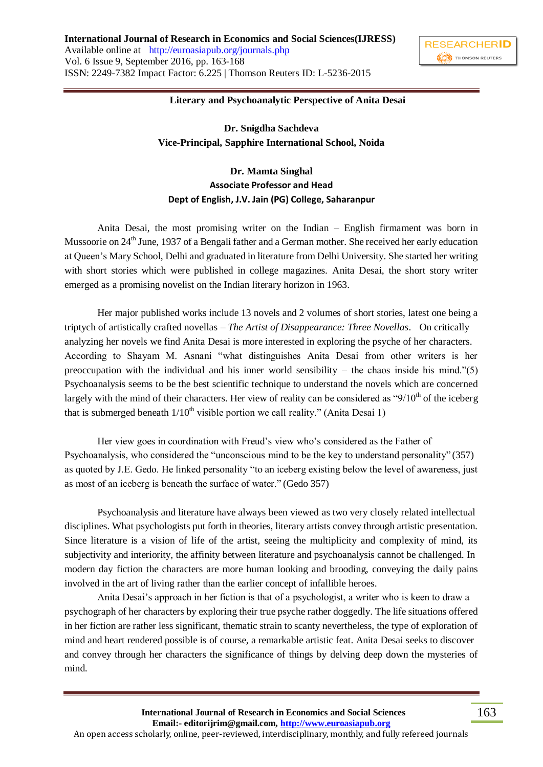

## **Literary and Psychoanalytic Perspective of Anita Desai**

**Dr. Snigdha Sachdeva Vice-Principal, Sapphire International School, Noida**

## **Dr. Mamta Singhal Associate Professor and Head Dept of English, J.V. Jain (PG) College, Saharanpur**

Anita Desai, the most promising writer on the Indian – English firmament was born in Mussoorie on 24<sup>th</sup> June, 1937 of a Bengali father and a German mother. She received her early education at Queen"s Mary School, Delhi and graduated in literature from Delhi University. She started her writing with short stories which were published in college magazines. Anita Desai, the short story writer emerged as a promising novelist on the Indian literary horizon in 1963.

Her major published works include 13 novels and 2 volumes of short stories, latest one being a triptych of artistically crafted novellas – *The Artist of Disappearance: Three Novellas*. On critically analyzing her novels we find Anita Desai is more interested in exploring the psyche of her characters. According to Shayam M. Asnani "what distinguishes Anita Desai from other writers is her preoccupation with the individual and his inner world sensibility – the chaos inside his mind." $(5)$ Psychoanalysis seems to be the best scientific technique to understand the novels which are concerned largely with the mind of their characters. Her view of reality can be considered as " $9/10<sup>th</sup>$  of the iceberg that is submerged beneath  $1/10<sup>th</sup>$  visible portion we call reality." (Anita Desai 1)

Her view goes in coordination with Freud"s view who"s considered as the Father of Psychoanalysis, who considered the "unconscious mind to be the key to understand personality" (357) as quoted by J.E. Gedo. He linked personality "to an iceberg existing below the level of awareness, just as most of an iceberg is beneath the surface of water." (Gedo 357)

Psychoanalysis and literature have always been viewed as two very closely related intellectual disciplines. What psychologists put forth in theories, literary artists convey through artistic presentation. Since literature is a vision of life of the artist, seeing the multiplicity and complexity of mind, its subjectivity and interiority, the affinity between literature and psychoanalysis cannot be challenged. In modern day fiction the characters are more human looking and brooding, conveying the daily pains involved in the art of living rather than the earlier concept of infallible heroes.

Anita Desai"s approach in her fiction is that of a psychologist, a writer who is keen to draw a psychograph of her characters by exploring their true psyche rather doggedly. The life situations offered in her fiction are rather less significant, thematic strain to scanty nevertheless, the type of exploration of mind and heart rendered possible is of course, a remarkable artistic feat. Anita Desai seeks to discover and convey through her characters the significance of things by delving deep down the mysteries of mind.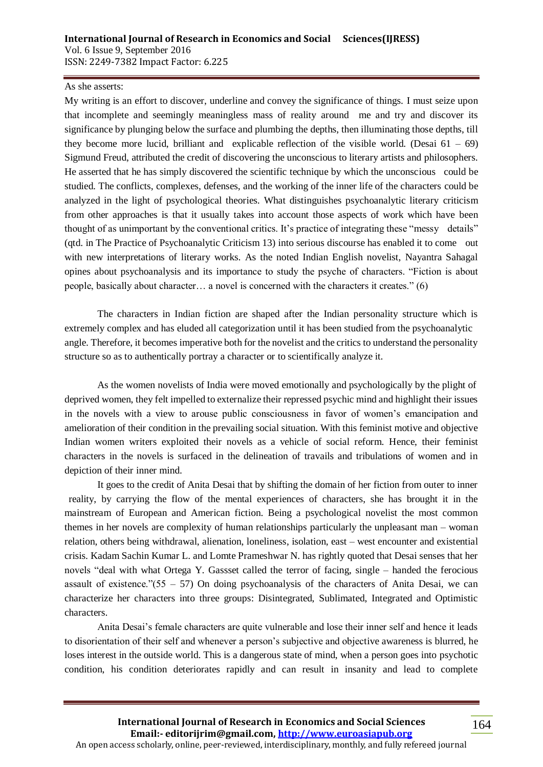## As she asserts:

My writing is an effort to discover, underline and convey the significance of things. I must seize upon that incomplete and seemingly meaningless mass of reality around me and try and discover its significance by plunging below the surface and plumbing the depths, then illuminating those depths, till they become more lucid, brilliant and explicable reflection of the visible world. (Desai  $61 - 69$ ) Sigmund Freud, attributed the credit of discovering the unconscious to literary artists and philosophers. He asserted that he has simply discovered the scientific technique by which the unconscious could be studied. The conflicts, complexes, defenses, and the working of the inner life of the characters could be analyzed in the light of psychological theories. What distinguishes psychoanalytic literary criticism from other approaches is that it usually takes into account those aspects of work which have been thought of as unimportant by the conventional critics. It"s practice of integrating these "messy details" (qtd. in The Practice of Psychoanalytic Criticism 13) into serious discourse has enabled it to come out with new interpretations of literary works. As the noted Indian English novelist, Nayantra Sahagal opines about psychoanalysis and its importance to study the psyche of characters. "Fiction is about people, basically about character… a novel is concerned with the characters it creates." (6)

The characters in Indian fiction are shaped after the Indian personality structure which is extremely complex and has eluded all categorization until it has been studied from the psychoanalytic angle. Therefore, it becomes imperative both for the novelist and the critics to understand the personality structure so as to authentically portray a character or to scientifically analyze it.

As the women novelists of India were moved emotionally and psychologically by the plight of deprived women, they felt impelled to externalize their repressed psychic mind and highlight their issues in the novels with a view to arouse public consciousness in favor of women's emancipation and amelioration of their condition in the prevailing social situation. With this feminist motive and objective Indian women writers exploited their novels as a vehicle of social reform. Hence, their feminist characters in the novels is surfaced in the delineation of travails and tribulations of women and in depiction of their inner mind.

It goes to the credit of Anita Desai that by shifting the domain of her fiction from outer to inner reality, by carrying the flow of the mental experiences of characters, she has brought it in the mainstream of European and American fiction. Being a psychological novelist the most common themes in her novels are complexity of human relationships particularly the unpleasant man – woman relation, others being withdrawal, alienation, loneliness, isolation, east – west encounter and existential crisis. Kadam Sachin Kumar L. and Lomte Prameshwar N. has rightly quoted that Desai senses that her novels "deal with what Ortega Y. Gassset called the terror of facing, single – handed the ferocious assault of existence." $(55 - 57)$  On doing psychoanalysis of the characters of Anita Desai, we can characterize her characters into three groups: Disintegrated, Sublimated, Integrated and Optimistic characters.

Anita Desai"s female characters are quite vulnerable and lose their inner self and hence it leads to disorientation of their self and whenever a person"s subjective and objective awareness is blurred, he loses interest in the outside world. This is a dangerous state of mind, when a person goes into psychotic condition, his condition deteriorates rapidly and can result in insanity and lead to complete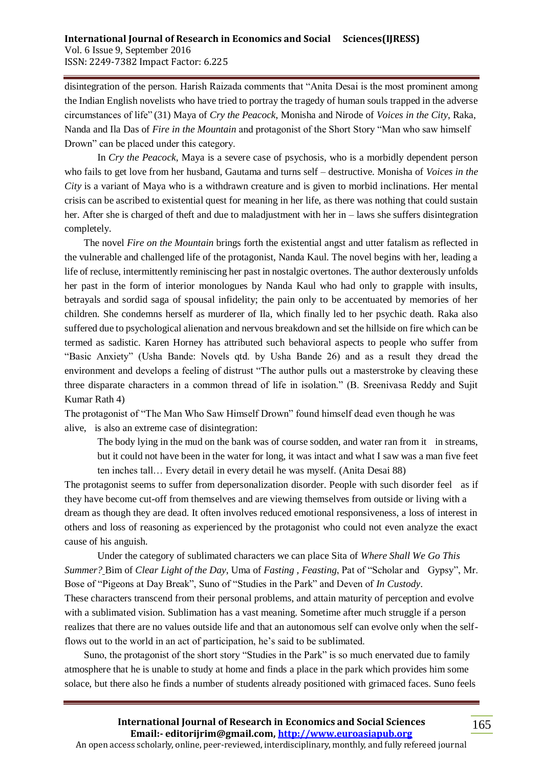disintegration of the person. Harish Raizada comments that "Anita Desai is the most prominent among the Indian English novelists who have tried to portray the tragedy of human souls trapped in the adverse circumstances of life" (31) Maya of *Cry the Peacock*, Monisha and Nirode of *Voices in the City*, Raka, Nanda and Ila Das of *Fire in the Mountain* and protagonist of the Short Story "Man who saw himself Drown" can be placed under this category.

In *Cry the Peacock*, Maya is a severe case of psychosis, who is a morbidly dependent person who fails to get love from her husband, Gautama and turns self – destructive. Monisha of *Voices in the City* is a variant of Maya who is a withdrawn creature and is given to morbid inclinations. Her mental crisis can be ascribed to existential quest for meaning in her life, as there was nothing that could sustain her. After she is charged of theft and due to maladjustment with her in – laws she suffers disintegration completely.

The novel *Fire on the Mountain* brings forth the existential angst and utter fatalism as reflected in the vulnerable and challenged life of the protagonist, Nanda Kaul. The novel begins with her, leading a life of recluse, intermittently reminiscing her past in nostalgic overtones. The author dexterously unfolds her past in the form of interior monologues by Nanda Kaul who had only to grapple with insults, betrayals and sordid saga of spousal infidelity; the pain only to be accentuated by memories of her children. She condemns herself as murderer of Ila, which finally led to her psychic death. Raka also suffered due to psychological alienation and nervous breakdown and set the hillside on fire which can be termed as sadistic. Karen Horney has attributed such behavioral aspects to people who suffer from "Basic Anxiety" (Usha Bande: Novels qtd. by Usha Bande 26) and as a result they dread the environment and develops a feeling of distrust "The author pulls out a masterstroke by cleaving these three disparate characters in a common thread of life in isolation." (B. Sreenivasa Reddy and Sujit Kumar Rath 4)

The protagonist of "The Man Who Saw Himself Drown" found himself dead even though he was alive, is also an extreme case of disintegration:

The body lying in the mud on the bank was of course sodden, and water ran from it in streams, but it could not have been in the water for long, it was intact and what I saw was a man five feet ten inches tall… Every detail in every detail he was myself. (Anita Desai 88)

The protagonist seems to suffer from depersonalization disorder. People with such disorder feel as if they have become cut-off from themselves and are viewing themselves from outside or living with a dream as though they are dead. It often involves reduced emotional responsiveness, a loss of interest in others and loss of reasoning as experienced by the protagonist who could not even analyze the exact cause of his anguish.

Under the category of sublimated characters we can place Sita of *Where Shall We Go This Summer?* Bim of *Clear Light of the Day*, Uma of *Fasting , Feasting*, Pat of "Scholar and Gypsy", Mr. Bose of "Pigeons at Day Break", Suno of "Studies in the Park" and Deven of *In Custody*. These characters transcend from their personal problems, and attain maturity of perception and evolve with a sublimated vision. Sublimation has a vast meaning. Sometime after much struggle if a person realizes that there are no values outside life and that an autonomous self can evolve only when the selfflows out to the world in an act of participation, he"s said to be sublimated.

Suno, the protagonist of the short story "Studies in the Park" is so much enervated due to family atmosphere that he is unable to study at home and finds a place in the park which provides him some solace, but there also he finds a number of students already positioned with grimaced faces. Suno feels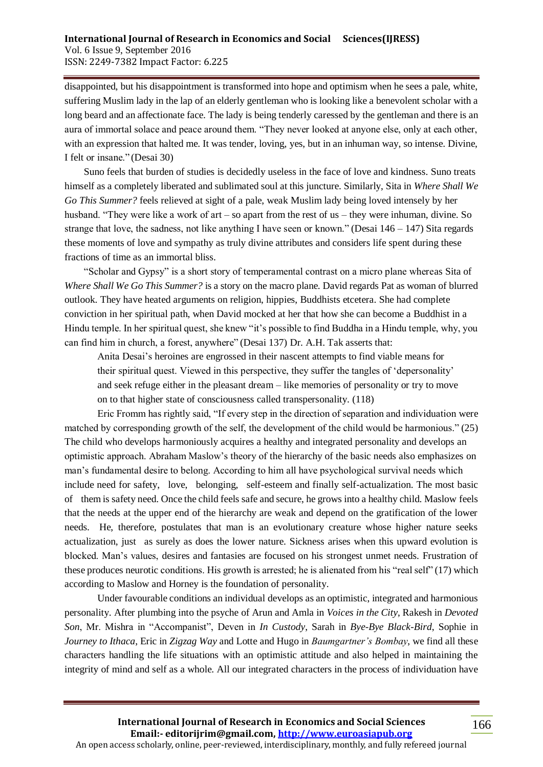disappointed, but his disappointment is transformed into hope and optimism when he sees a pale, white, suffering Muslim lady in the lap of an elderly gentleman who is looking like a benevolent scholar with a long beard and an affectionate face. The lady is being tenderly caressed by the gentleman and there is an aura of immortal solace and peace around them. "They never looked at anyone else, only at each other, with an expression that halted me. It was tender, loving, yes, but in an inhuman way, so intense. Divine, I felt or insane." (Desai 30)

Suno feels that burden of studies is decidedly useless in the face of love and kindness. Suno treats himself as a completely liberated and sublimated soul at this juncture. Similarly, Sita in *Where Shall We Go This Summer?* feels relieved at sight of a pale, weak Muslim lady being loved intensely by her husband. "They were like a work of art – so apart from the rest of us – they were inhuman, divine. So strange that love, the sadness, not like anything I have seen or known." (Desai 146 – 147) Sita regards these moments of love and sympathy as truly divine attributes and considers life spent during these fractions of time as an immortal bliss.

"Scholar and Gypsy" is a short story of temperamental contrast on a micro plane whereas Sita of *Where Shall We Go This Summer?* is a story on the macro plane. David regards Pat as woman of blurred outlook. They have heated arguments on religion, hippies, Buddhists etcetera. She had complete conviction in her spiritual path, when David mocked at her that how she can become a Buddhist in a Hindu temple. In her spiritual quest, she knew "it's possible to find Buddha in a Hindu temple, why, you can find him in church, a forest, anywhere" (Desai 137) Dr. A.H. Tak asserts that:

Anita Desai"s heroines are engrossed in their nascent attempts to find viable means for their spiritual quest. Viewed in this perspective, they suffer the tangles of "depersonality" and seek refuge either in the pleasant dream – like memories of personality or try to move on to that higher state of consciousness called transpersonality. (118)

Eric Fromm has rightly said, "If every step in the direction of separation and individuation were matched by corresponding growth of the self, the development of the child would be harmonious." (25) The child who develops harmoniously acquires a healthy and integrated personality and develops an optimistic approach. Abraham Maslow"s theory of the hierarchy of the basic needs also emphasizes on man"s fundamental desire to belong. According to him all have psychological survival needs which include need for safety, love, belonging, self-esteem and finally self-actualization. The most basic of them is safety need. Once the child feels safe and secure, he grows into a healthy child. Maslow feels that the needs at the upper end of the hierarchy are weak and depend on the gratification of the lower needs. He, therefore, postulates that man is an evolutionary creature whose higher nature seeks actualization, just as surely as does the lower nature. Sickness arises when this upward evolution is blocked. Man"s values, desires and fantasies are focused on his strongest unmet needs. Frustration of these produces neurotic conditions. His growth is arrested; he is alienated from his "real self" (17) which according to Maslow and Horney is the foundation of personality.

Under favourable conditions an individual develops as an optimistic, integrated and harmonious personality. After plumbing into the psyche of Arun and Amla in *Voices in the City*, Rakesh in *Devoted Son*, Mr. Mishra in "Accompanist", Deven in *In Custody*, Sarah in *Bye-Bye Black-Bird*, Sophie in *Journey to Ithaca*, Eric in *Zigzag Way* and Lotte and Hugo in *Baumgartner's Bombay*, we find all these characters handling the life situations with an optimistic attitude and also helped in maintaining the integrity of mind and self as a whole. All our integrated characters in the process of individuation have

**International Journal of Research in Economics and Social Sciences Email:- editorijrim@gmail.com, http://www.euroasiapub.org** An open access scholarly, online, peer-reviewed, interdisciplinary, monthly, and fully refereed journal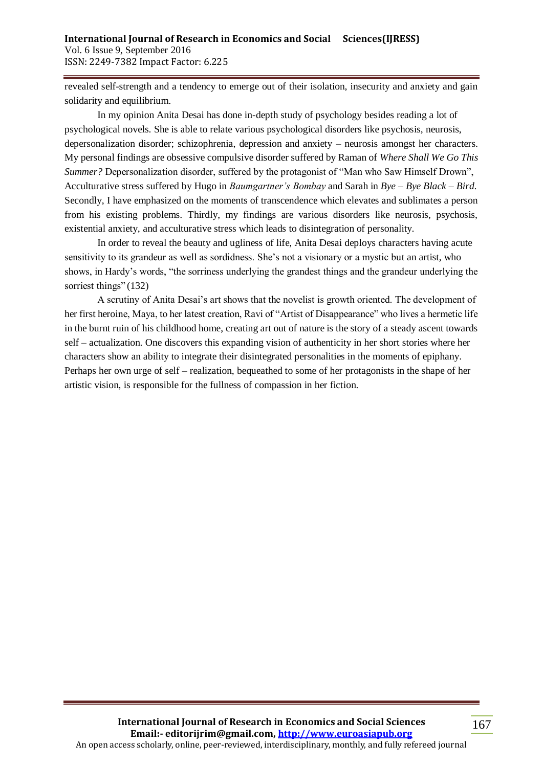revealed self-strength and a tendency to emerge out of their isolation, insecurity and anxiety and gain solidarity and equilibrium.

In my opinion Anita Desai has done in-depth study of psychology besides reading a lot of psychological novels. She is able to relate various psychological disorders like psychosis, neurosis, depersonalization disorder; schizophrenia, depression and anxiety – neurosis amongst her characters. My personal findings are obsessive compulsive disorder suffered by Raman of *Where Shall We Go This Summer?* Depersonalization disorder, suffered by the protagonist of "Man who Saw Himself Drown", Acculturative stress suffered by Hugo in *Baumgartner's Bombay* and Sarah in *Bye – Bye Black – Bird*. Secondly, I have emphasized on the moments of transcendence which elevates and sublimates a person from his existing problems. Thirdly, my findings are various disorders like neurosis, psychosis, existential anxiety, and acculturative stress which leads to disintegration of personality.

In order to reveal the beauty and ugliness of life, Anita Desai deploys characters having acute sensitivity to its grandeur as well as sordidness. She"s not a visionary or a mystic but an artist, who shows, in Hardy"s words, "the sorriness underlying the grandest things and the grandeur underlying the sorriest things" (132)

A scrutiny of Anita Desai"s art shows that the novelist is growth oriented. The development of her first heroine, Maya, to her latest creation, Ravi of "Artist of Disappearance" who lives a hermetic life in the burnt ruin of his childhood home, creating art out of nature is the story of a steady ascent towards self – actualization. One discovers this expanding vision of authenticity in her short stories where her characters show an ability to integrate their disintegrated personalities in the moments of epiphany. Perhaps her own urge of self – realization, bequeathed to some of her protagonists in the shape of her artistic vision, is responsible for the fullness of compassion in her fiction.